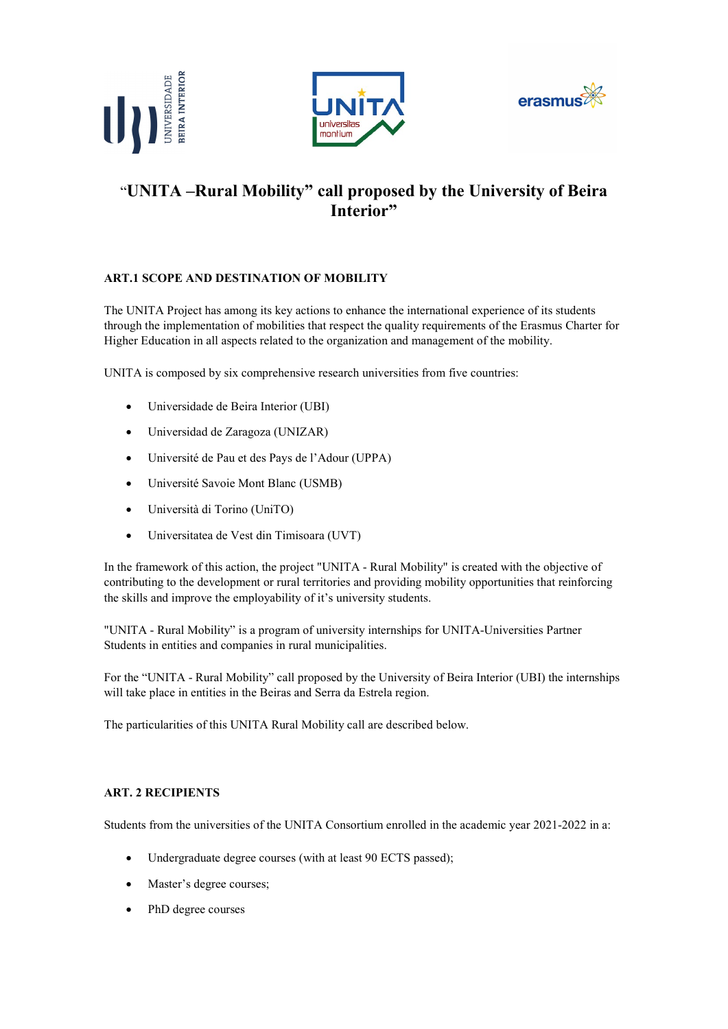





# "UNITA –Rural Mobility" call proposed by the University of Beira Interior"

# ART.1 SCOPE AND DESTINATION OF MOBILITY

The UNITA Project has among its key actions to enhance the international experience of its students through the implementation of mobilities that respect the quality requirements of the Erasmus Charter for Higher Education in all aspects related to the organization and management of the mobility.

UNITA is composed by six comprehensive research universities from five countries:

- Universidade de Beira Interior (UBI)
- Universidad de Zaragoza (UNIZAR)
- Université de Pau et des Pays de l'Adour (UPPA)
- Université Savoie Mont Blanc (USMB)
- Università di Torino (UniTO)
- Universitatea de Vest din Timisoara (UVT)

In the framework of this action, the project "UNITA - Rural Mobility" is created with the objective of contributing to the development or rural territories and providing mobility opportunities that reinforcing the skills and improve the employability of it's university students.

"UNITA - Rural Mobility" is a program of university internships for UNITA-Universities Partner Students in entities and companies in rural municipalities.

For the "UNITA - Rural Mobility" call proposed by the University of Beira Interior (UBI) the internships will take place in entities in the Beiras and Serra da Estrela region.

The particularities of this UNITA Rural Mobility call are described below.

#### ART. 2 RECIPIENTS

Students from the universities of the UNITA Consortium enrolled in the academic year 2021-2022 in a:

- Undergraduate degree courses (with at least 90 ECTS passed);
- Master's degree courses;
- PhD degree courses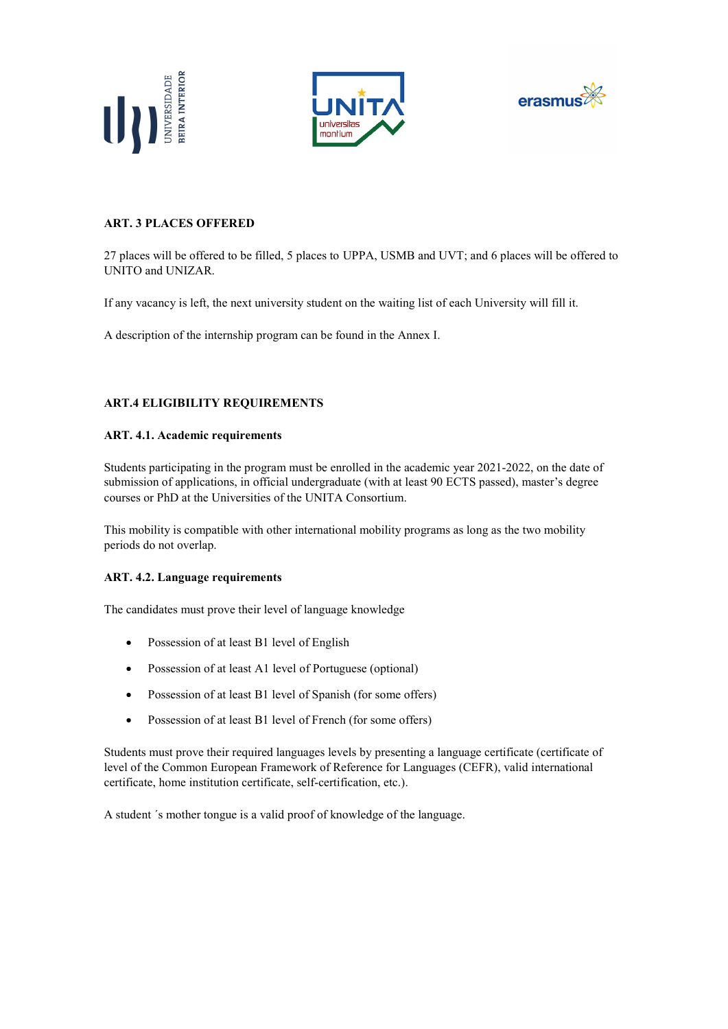





# ART. 3 PLACES OFFERED

27 places will be offered to be filled, 5 places to UPPA, USMB and UVT; and 6 places will be offered to UNITO and UNIZAR.

If any vacancy is left, the next university student on the waiting list of each University will fill it.

A description of the internship program can be found in the Annex I.

# ART.4 ELIGIBILITY REQUIREMENTS

#### ART. 4.1. Academic requirements

Students participating in the program must be enrolled in the academic year 2021-2022, on the date of submission of applications, in official undergraduate (with at least 90 ECTS passed), master's degree courses or PhD at the Universities of the UNITA Consortium.

This mobility is compatible with other international mobility programs as long as the two mobility periods do not overlap.

# ART. 4.2. Language requirements

The candidates must prove their level of language knowledge

- Possession of at least B1 level of English
- Possession of at least A1 level of Portuguese (optional)
- Possession of at least B1 level of Spanish (for some offers)
- Possession of at least B1 level of French (for some offers)

Students must prove their required languages levels by presenting a language certificate (certificate of level of the Common European Framework of Reference for Languages (CEFR), valid international certificate, home institution certificate, self-certification, etc.).

A student ´s mother tongue is a valid proof of knowledge of the language.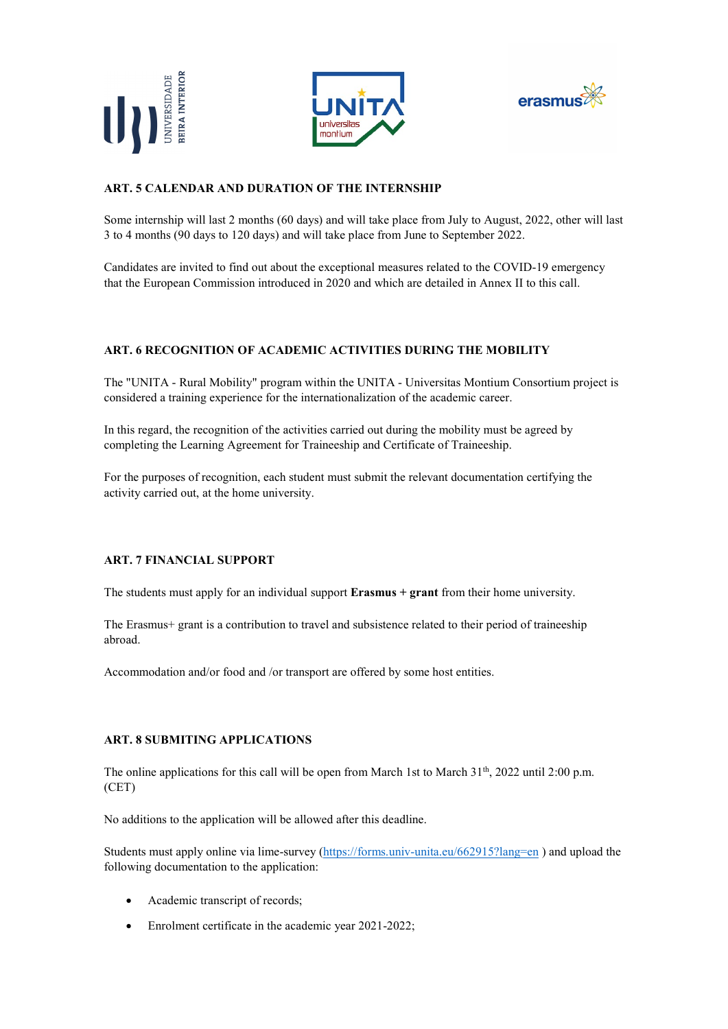





# ART. 5 CALENDAR AND DURATION OF THE INTERNSHIP

Some internship will last 2 months (60 days) and will take place from July to August, 2022, other will last 3 to 4 months (90 days to 120 days) and will take place from June to September 2022.

Candidates are invited to find out about the exceptional measures related to the COVID-19 emergency that the European Commission introduced in 2020 and which are detailed in Annex II to this call.

# ART. 6 RECOGNITION OF ACADEMIC ACTIVITIES DURING THE MOBILITY

The "UNITA - Rural Mobility" program within the UNITA - Universitas Montium Consortium project is considered a training experience for the internationalization of the academic career.

In this regard, the recognition of the activities carried out during the mobility must be agreed by completing the Learning Agreement for Traineeship and Certificate of Traineeship.

For the purposes of recognition, each student must submit the relevant documentation certifying the activity carried out, at the home university.

# ART. 7 FINANCIAL SUPPORT

The students must apply for an individual support **Erasmus + grant** from their home university.

The Erasmus+ grant is a contribution to travel and subsistence related to their period of traineeship abroad.

Accommodation and/or food and /or transport are offered by some host entities.

#### ART. 8 SUBMITING APPLICATIONS

The online applications for this call will be open from March 1st to March  $31<sup>th</sup>$ , 2022 until 2:00 p.m. (CET)

No additions to the application will be allowed after this deadline.

Students must apply online via lime-survey (https://forms.univ-unita.eu/662915?lang=en ) and upload the following documentation to the application:

- Academic transcript of records;
- Enrolment certificate in the academic year 2021-2022;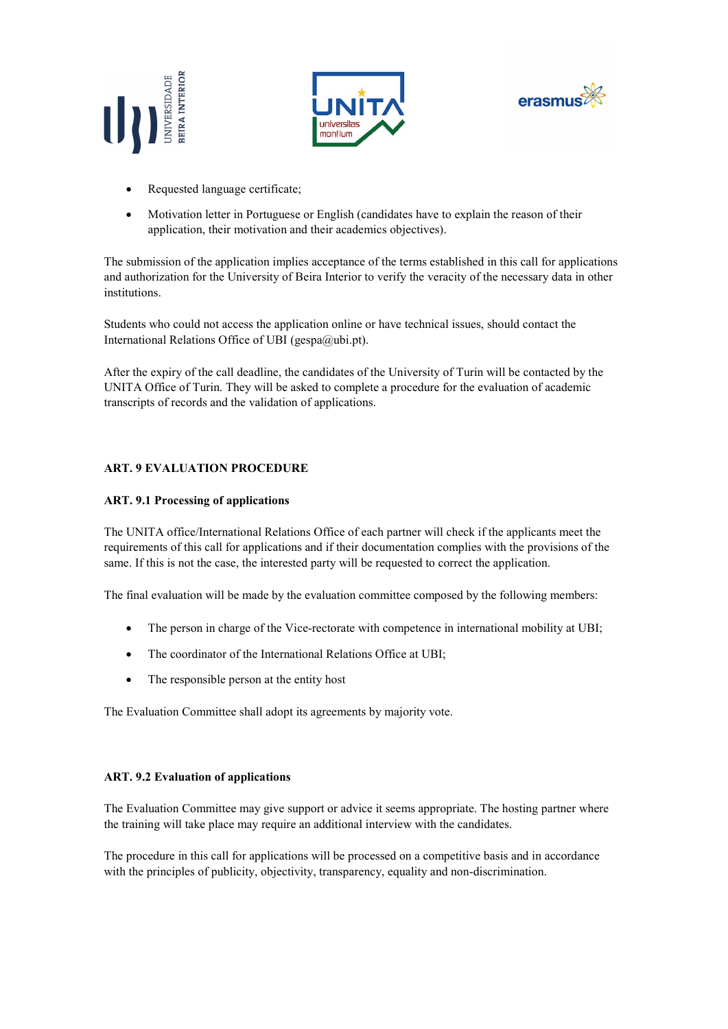





- Requested language certificate;
- Motivation letter in Portuguese or English (candidates have to explain the reason of their application, their motivation and their academics objectives).

The submission of the application implies acceptance of the terms established in this call for applications and authorization for the University of Beira Interior to verify the veracity of the necessary data in other institutions.

Students who could not access the application online or have technical issues, should contact the International Relations Office of UBI ( $gespa@ubi.pt$ ).

After the expiry of the call deadline, the candidates of the University of Turin will be contacted by the UNITA Office of Turin. They will be asked to complete a procedure for the evaluation of academic transcripts of records and the validation of applications.

# ART. 9 EVALUATION PROCEDURE

# ART. 9.1 Processing of applications

The UNITA office/International Relations Office of each partner will check if the applicants meet the requirements of this call for applications and if their documentation complies with the provisions of the same. If this is not the case, the interested party will be requested to correct the application.

The final evaluation will be made by the evaluation committee composed by the following members:

- The person in charge of the Vice-rectorate with competence in international mobility at UBI;
- The coordinator of the International Relations Office at UBI;
- The responsible person at the entity host

The Evaluation Committee shall adopt its agreements by majority vote.

#### ART. 9.2 Evaluation of applications

The Evaluation Committee may give support or advice it seems appropriate. The hosting partner where the training will take place may require an additional interview with the candidates.

The procedure in this call for applications will be processed on a competitive basis and in accordance with the principles of publicity, objectivity, transparency, equality and non-discrimination.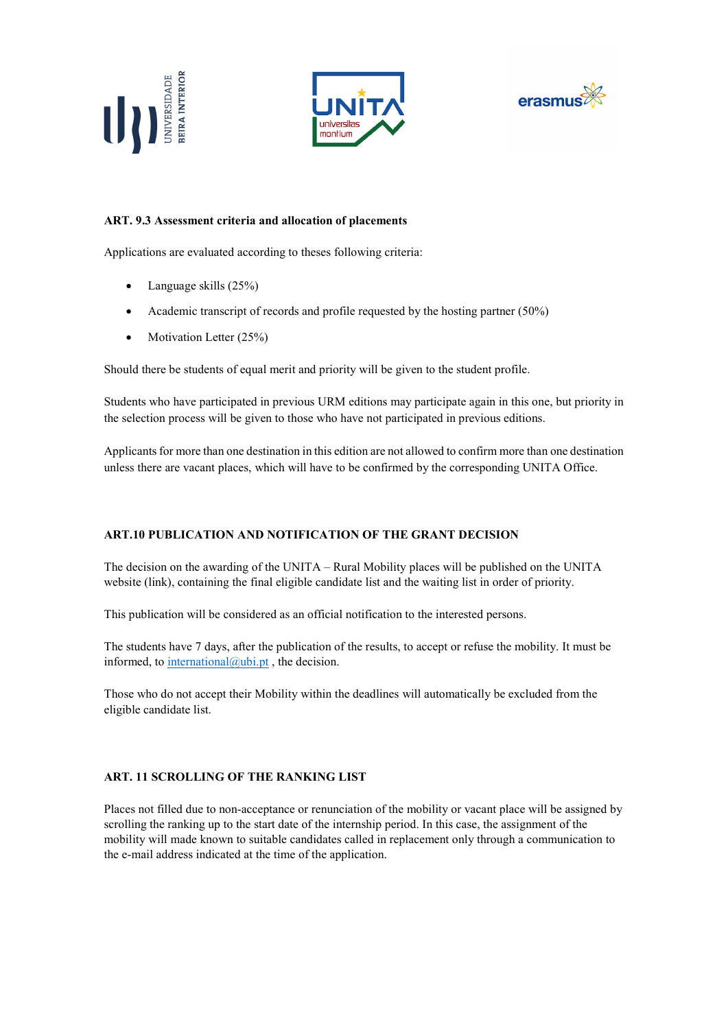





# ART. 9.3 Assessment criteria and allocation of placements

Applications are evaluated according to theses following criteria:

- Language skills (25%)
- Academic transcript of records and profile requested by the hosting partner (50%)
- Motivation Letter  $(25%)$

Should there be students of equal merit and priority will be given to the student profile.

Students who have participated in previous URM editions may participate again in this one, but priority in the selection process will be given to those who have not participated in previous editions.

Applicants for more than one destination in this edition are not allowed to confirm more than one destination unless there are vacant places, which will have to be confirmed by the corresponding UNITA Office.

#### ART.10 PUBLICATION AND NOTIFICATION OF THE GRANT DECISION

The decision on the awarding of the UNITA – Rural Mobility places will be published on the UNITA website (link), containing the final eligible candidate list and the waiting list in order of priority.

This publication will be considered as an official notification to the interested persons.

The students have 7 days, after the publication of the results, to accept or refuse the mobility. It must be informed, to  $\frac{\text{internal}(a) \text{ubi.pt}}{\text{inert}}$ , the decision.

Those who do not accept their Mobility within the deadlines will automatically be excluded from the eligible candidate list.

#### ART. 11 SCROLLING OF THE RANKING LIST

Places not filled due to non-acceptance or renunciation of the mobility or vacant place will be assigned by scrolling the ranking up to the start date of the internship period. In this case, the assignment of the mobility will made known to suitable candidates called in replacement only through a communication to the e-mail address indicated at the time of the application.